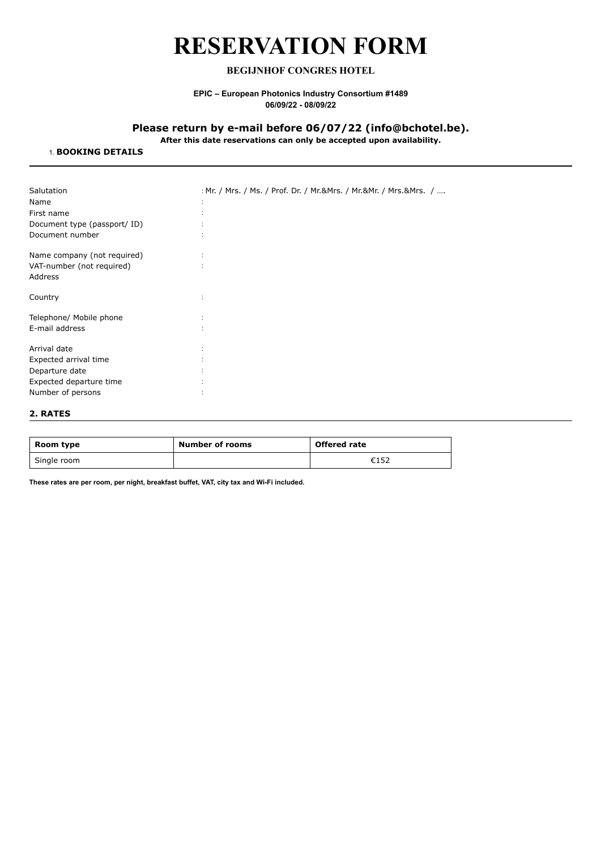# **RESERVATION FORM**

# **BEGIJNHOF CONGRES HOTEL**

## **EPIC – European Photonics Industry Consortium #1489 06/09/22 - 08/09/22**

# **Please return by e-mail before 06/07/22 (info@bchotel.be).**

**After this date reservations can only be accepted upon availability.**

## 1. **BOOKING DETAILS**

| Salutation                  | : Mr. / Mrs. / Ms. / Prof. Dr. / Mr.&Mrs. / Mr.&Mr. / Mrs.&Mrs. / |
|-----------------------------|-------------------------------------------------------------------|
| Name                        |                                                                   |
| First name                  |                                                                   |
| Document type (passport/ID) |                                                                   |
| Document number             |                                                                   |
| Name company (not required) | ÷                                                                 |
| VAT-number (not required)   | $\ddot{\phantom{a}}$                                              |
| Address                     |                                                                   |
| Country                     |                                                                   |
| Telephone/ Mobile phone     |                                                                   |
| E-mail address              |                                                                   |
| Arrival date                |                                                                   |
| Expected arrival time       |                                                                   |
| Departure date              |                                                                   |
| Expected departure time     |                                                                   |
| Number of persons           | ٠                                                                 |
|                             |                                                                   |

#### **2. RATES**

| Room type   | Number of rooms | <b>Offered rate</b> |
|-------------|-----------------|---------------------|
| Single room |                 | €152                |

**These rates are per room, per night, breakfast buffet, VAT, city tax and Wi-Fi included.**